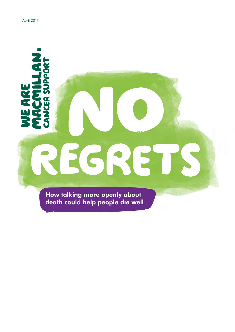CCMILLAN

Ŧ

EARE

# 3 ES  $\left( 0, \right)$ **E**

How talking more openly about death could help people die well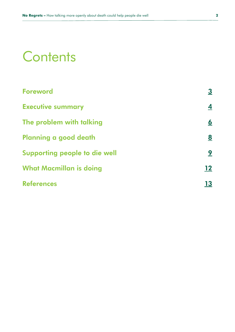### **Contents**

| <b>Foreword</b>                | <u>3</u>                |
|--------------------------------|-------------------------|
| <b>Executive summary</b>       | $\overline{\mathbf{4}}$ |
| The problem with talking       | <u>6</u>                |
| Planning a good death          | <u>8</u>                |
| Supporting people to die well  | <u>9</u>                |
| <b>What Macmillan is doing</b> | 12                      |
| <b>References</b>              | 13                      |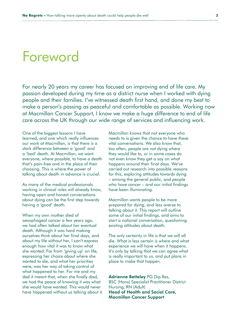### <span id="page-2-0"></span>Foreword

For nearly 20 years my career has focused on improving end of life care. My passion developed during my time as a district nurse when I worked with dying people and their families. I've witnessed death first hand, and done my best to make a person's passing as peaceful and comfortable as possible. Working now at Macmillan Cancer Support, I know we make a huge difference to end of life care across the UK through our wide range of services and influencing work.

One of the biggest lessons I have learned, and one which really influences our work at Macmillan, is that there is a stark difference between a 'good' and a 'bad' death. At Macmillan, we want everyone, where possible, to have a death that's pain-free and in the place of their choosing. This is where the power of talking about death in advance is crucial.

As many of the medical professionals working in clinical roles will already know, having open and honest conversations about dying can be the first step towards having a 'good' death.

When my own mother died of oesophageal cancer a few years ago, we had often talked about her eventual death. Although it was hard making ourselves think about her final days, and about my life without her, I can't express enough how vital it was to know what she wanted. Far from 'giving up' on life, expressing her choice about where she wanted to die, and what her priorities were, was her way of taking control of what happened to her. For me and my dad it meant that, when she finally died, we had the peace of knowing it was what she would have wanted. This would never have happened without us talking about it. Macmillan knows that not everyone who needs to is given the chance to have these vital conversations. We also know that, too often, people are not dying where they would like to, or in some cases do not even know they get a say on what happens around their final days. We've carried out research into possible reasons for this, exploring attitudes towards dying – among the general public, and people who have cancer – and our initial findings have been illuminating.

Macmillan wants people to be more prepared for dying, and less averse to talking about it. This report will outline some of our initial findings, and aims to start a national conversation, questioning existing attitudes about death.

The only certainty in life is that we will all die. What is less certain is where and what experience we will have when it happens. It's only by talking that we can agree what is really important to us, and put plans in place to make that happen.

Adrienne Betteley PG Dip Res,

BSC (Hons) Specialist Practitioner District Nursing, RN (Adult) Head of Health and Social Care, Macmillan Cancer Support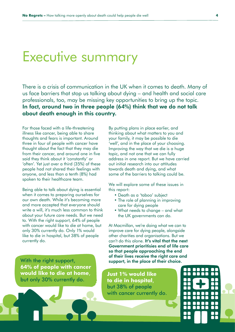### <span id="page-3-0"></span>Executive summary

There is a crisis of communication in the UK when it comes to death. Many of us face barriers that stop us talking about dying – and health and social care professionals, too, may be missing key opportunities to bring up the topic. In fact, around two in three people (64%) think that we do not talk about death enough in this country.

For those faced with a life-threatening illness like cancer, being able to share thoughts and fears is important. Around three in four of people with cancer have thought about the fact that they may die from their cancer, and around one in five said they think about it 'constantly' or 'often'. Yet just over a third (35%) of these people had not shared their feelings with anyone, and less than a tenth (8%) had spoken to their healthcare team.

Being able to talk about dying is essential when it comes to preparing ourselves for our own death. While it's becoming more and more accepted that everyone should write a will, it's much less common to think about your future care needs. But we need to. With the right support, 64% of people with cancer would like to die at home, but only 30% currently do. Only 1% would like to die in hospital, but 38% of people currently do.

With the right support, **64% of people with cancer would like to die at home**, but only 30% currently do.

By putting plans in place earlier, and thinking about what matters to you and your family, it may be possible to die 'well', and in the place of your choosing. Improving the way that we die is a huge topic, and not one that we can fully address in one report. But we have carried out initial research into our attitudes towards death and dying, and what some of the barriers to talking could be.

We will explore some of these issues in this report:

- Death as a 'taboo' subject
- The role of planning in improving care for dying people
- What needs to change and what the UK governments can do.

At Macmillan, we're doing what we can to improve care for dying people, alongside other charities and organisations. But we can't do this alone. It's vital that the next Government prioritisies end of life care so that people approaching the end of their lives receive the right care and support, in the place of their choice.

**Just 1% would like to die in hospital**, but 38% of people with cancer currently do.

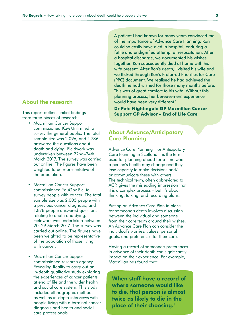#### About the research

This report outlines initial findings from three pieces of research:

- Macmillan Cancer Support commissioned ICM Unlimited to survey the general public. The total sample size was 2,096, and 1,786 answered the questions about death and dying. Fieldwork was undertaken between 22nd–24th March 2017. The survey was carried out online. The figures have been weighted to be representative of the population.
- Macmillan Cancer Support commissioned YouGov Plc. to survey people with cancer. The total sample size was 2,005 people with a previous cancer diagnosis, and 1,878 people answered questions relating to death and dying. Fieldwork was undertaken between 20–29 March 2017. The survey was carried out online. The figures have been weighted to be representative of the population of those living with cancer.
- Macmillan Cancer Support commissioned research agency Revealing Reality to carry out an in-depth qualitative study exploring the experiences of cancer patients at end of life and the wider health and social care system. This study included ethnographic methods as well as in-depth interviews with people living with a terminal cancer diagnosis and health and social care professionals.

'A patient I had known for many years convinced me of the importance of Advance Care Planning. Ron could so easily have died in hospital, enduring a futile and undignified attempt at resuscitation. After a hospital discharge, we documented his wishes together. Ron subsequently died at home with his wife present. After Ron's death, I visited his wife and we flicked through Ron's Preferred Priorities for Care (PPC) document. We realised he had achieved the death he had wished for those many months before. This was of great comfort to his wife. Without this planning process, her bereavement experience would have been very different.'

**Dr Pete Nightingale GP Macmillan Cancer Support GP Advisor – End of Life Care**

#### About Advance/Anticipatory Care Planning

Advance Care Planning – or Anticipatory Care Planning in Scotland – is the term used for planning ahead for a time when a person's health may change and they lose capacity to make decisions and/ or communicate these with others. The technical term, often abbreviated to ACP, gives the misleading impression that it is a complex process – but it's about thinking, talking, and recording plans.

Putting an Advance Care Plan in place for someone's death involves discussion between the individual and someone from their care team around their wishes. An Advance Care Plan can consider the individual's worries, values, personal goals, and preferences for their care.

Having a record of someone's preferences in advance of their death can significantly impact on their experience. For example, Macmillan has found that:

When staff have a record of where someone would like to die, that person is almost twice as likely to die in the place of their choosing.<sup>1</sup>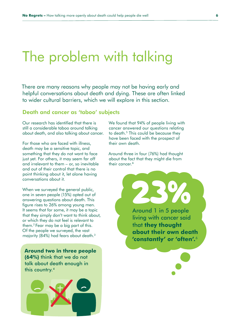### <span id="page-5-0"></span>The problem with talking

There are many reasons why people may not be having early and helpful conversations about death and dying. These are often linked to wider cultural barriers, which we will explore in this section.

#### Death and cancer as 'taboo' subjects

Our research has identified that there is still a considerable taboo around talking about death, and also talking about cancer.

For those who are faced with illness, death may be a sensitive topic, and something that they do not want to face just yet. For others, it may seem far off and irrelevant to them – or, so inevitable and out of their control that there is no point thinking about it, let alone having conversations about it.

When we surveyed the general public, one in seven people (15%) opted out of answering questions about death. This figure rises to 26% among young men. It seems that for some, it may be a topic that they simply don't want to think about, or which they do not feel is relevant to them.2 Fear may be a big part of this. Of the people we surveyed, the vast majority (84%) had fears about death.3

**Around two in three people (64%)** think that we do not talk about death enough in this country.4



We found that 94% of people living with cancer answered our questions relating to death.<sup>5</sup> This could be because they have been faced with the prospect of their own death.

Around three in four (76%) had thought about the fact that they might die from their cancer.<sup>6</sup>

> **23%** living with cancer said that **they thought about their own death 'constantly' or 'often'.**<sup>6</sup>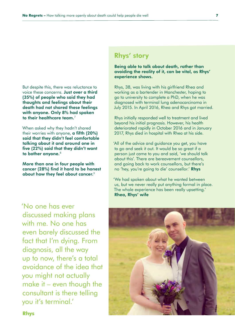#### But despite this, there was reluctance to voice these concerns. Just over a third (35%) of people who said they had thoughts and feelings about their death had not shared these feelings with anyone. Only 8% had spoken to their healthcare team.<sup>7</sup>

When asked why they hadn't shared their worries with anyone, a fifth (20%) said that they didn't feel comfortable talking about it and around one in five (22%) said that they didn't want to bother anyone.<sup>8</sup>

More than one in four people with cancer (28%) find it hard to be honest about how they feel about cancer.<sup>9</sup>

'No one has ever discussed making plans with me. No one has even barely discussed the fact that I'm dying. From diagnosis, all the way up to now, there's a total avoidance of the idea that you might not actually make it – even though the consultant is there telling you it's terminal.'

### Rhys' story

Being able to talk about death, rather than avoiding the reality of it, can be vital, as Rhys' experience shows.

Rhys, 38, was living with his girlfriend Rhea and working as a bartender in Manchester, hoping to go to university to complete a PhD, when he was diagnosed with terminal lung adenocarcinoma in July 2015. In April 2016, Rhea and Rhys got married.

Rhys initially responded well to treatment and lived beyond his initial prognosis. However, his health deteriorated rapidly in October 2016 and in January 2017, Rhys died in hospital with Rhea at his side.

'All of the advice and guidance you get, you have to go and seek it out. It would be so great if a person just came to you and said, 'we should talk about this'. There are bereavement counsellors, and going back to work counsellors, but there's no 'hey, you're going to die' counsellor.' Rhys

'We had spoken about what he wanted between us, but we never really put anything formal in place. The whole experience has been really upsetting.' Rhea, Rhys' wife

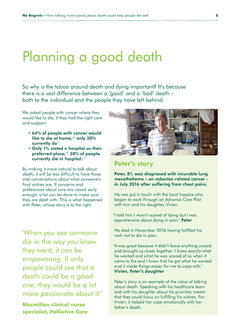### <span id="page-7-0"></span>Planning a good death

So why is the taboo around death and dying important? It's because there is a vast difference between a 'good' and a 'bad' death – both to the individual and the people they have left behind.

We asked people with cancer where they would like to die, if they had the right care and support:

- 64% of people with cancer would like to die at home; $10$  only 30% currently do<sup>11</sup>
- Only 1% stated a hospital as their preferred place;<sup>12</sup> 38% of people currently die in hospital.<sup>13</sup>

By making it more natural to talk about death, it will be less difficult to have those vital conversations about what someone's final wishes are. If concerns and preferences about care are raised early enough, a lot can be done to make sure they are dealt with. This is what happened with Peter, whose story is to the right.

'When you see someone die in the way you know they want; it can be empowering. If only people could see that a death could be a good one, they would be a lot more passionate about it.'

**Macmillan clinical nurse specialist, Palliative Care**



#### Peter's story

Peter, 81, was diagnosed with incurable lung mesothelioma – an asbestos-related cancer – in July 2016 after suffering from chest pains.

He was put in touch with the local hospice who began to work through an Advance Care Plan with him and his daughter, Vivien.

'I told him I wasn't scared of dying but I was apprehensive about dying in pain.' Peter

He died in November 2016 having fulfilled his wish not to die in pain.

'It was great because it didn't leave anything unsaid and brought us closer together. I knew exactly what he wanted and what he was scared of so when it came to the end I knew that he got what he wanted and it made things easier for me to cope with.' Vivien, Peter's daughter

Peter's story is an example of the value of talking about death. Speaking with his healthcare team and with his daughter about his priorities meant that they could focus on fulfilling his wishes. For Vivien, it helped her cope emotionally with her father's death.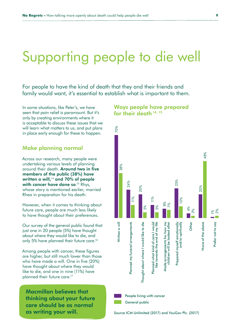## <span id="page-8-0"></span>Supporting people to die well

For people to have the kind of death that they and their friends and family would want, it's essential to establish what is important to them.

In some situations, like Peter's, we have seen that pain relief is paramount. But it's only by creating environments where it is acceptable to discuss these issues that we will learn what matters to us, and put plans in place early enough for these to happen.

#### Make planning normal

Across our research, many people were undertaking various levels of planning around their death. Around two in five members of the public (38%) have written a will, $14$  and 70% of people **with cancer have done so.**<sup>15</sup> Rhys, whose story is mentioned earlier, married Rhea in preparation for his death.

However, when it comes to thinking about future care, people are much less likely to have thought about their preferences.

Our survey of the general public found that just one in 20 people (5%) have thought about where they would like to die, and only 5% have planned their future care.<sup>16</sup>

Among people with cancer, these figures are higher, but still much lower than those who have made a will. One in five (20%) have thought about where they would like to die, and one in nine (11%) have planned their future care.<sup>17</sup>

Macmillan believes that thinking about your future care should be as normal

#### Ways people have prepared for their death 14, 15

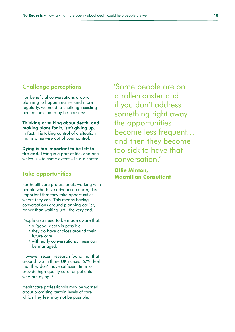#### Challenge perceptions

For beneficial conversations around planning to happen earlier and more regularly, we need to challenge existing perceptions that may be barriers:

Thinking or talking about death, and making plans for it, isn't giving up. In fact, it is taking control of a situation that is otherwise out of your control.

Dying is too important to be left to the end. Dying is a part of life, and one which is – to some extent – in our control

#### Take opportunities

For healthcare professionals working with people who have advanced cancer, it is important that they take opportunities where they can. This means having conversations around planning earlier, rather than waiting until the very end.

People also need to be made aware that:

- a 'good' death is possible
- they do have choices around their future care
- with early conversations, these can be managed.

However, recent research found that that around two in three UK nurses (67%) feel that they don't have sufficient time to provide high quality care for patients who are dying.<sup>18</sup>

Healthcare professionals may be worried about promising certain levels of care which they feel may not be possible.

'Some people are on a rollercoaster and if you don't address something right away the opportunities become less frequent… and then they become too sick to have that conversation.'

#### **Ollie Minton, Macmillan Consultant**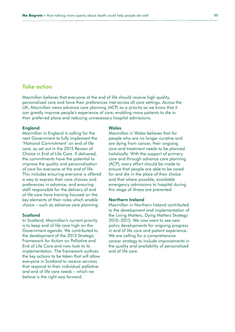#### Take action

Macmillan believes that everyone at the end of life should receive high quality, personalised care and have their preferences met across all care settings. Across the UK, Macmillan views advance care planning (ACP) as a priority as we know that it can greatly improve people's experience of care; enabling more patients to die in their preferred place and reducing unnecessary hospital admissions.

#### England

Macmillan in England is calling for the next Government to fully implement the 'National Commitment' on end of life care, as set out in the 2015 Review of Choice in End of Life Care. If delivered, the commitments have the potential to improve the quality and personalisation of care for everyone at the end of life. This includes ensuring everyone is offered a way to express their care choices and preferences in advance, and ensuring staff responsible for the delivery of end of life care have training focused on the key elements of their roles which enable choice – such as advance care planning.

#### **Scotland**

In Scotland, Macmillan's current priority is to keep end of life care high on the Government agenda. We contributed to the development of the 2015 Strategic Framework for Action on Palliative and End of Life Care and now look to its implementation. The framework outlines the key actions to be taken that will allow everyone in Scotland to receive services that respond to their individual palliative and end of life care needs – which we believe is the right way forward.

#### **Wales**

Macmillan in Wales believes that for people who are no longer curative and are dying from cancer, their ongoing care and treatment needs to be planned holistically. With the support of primary care and through advance care planning (ACP), every effort should be made to ensure that people are able to be cared for and die in the place of their choice and that where possible, avoidable emergency admissions to hospital during this stage of illness are prevented.

#### Northern Ireland

Macmillan in Northern Ireland contributed to the development and implementation of the Living Matters, Dying Matters Strategy 2010–2015. We now want to see new policy developments for ongoing progress in end of life care and patient experience. We are calling for a comprehensive cancer strategy to include improvements in the quality and availability of personalised end of life care.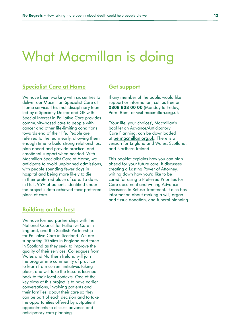### <span id="page-11-0"></span>What Macmillan is doing

#### [Specialist Care at Home](http://www.macmillan.org.uk/about-us/health-professionals/programmes-and-services/specialist-care-at-home.html)

We have been working with six centres to deliver our Macmillan Specialist Care at Home service. This multidisciplinary team led by a Specialty Doctor and GP with Special Interest in Palliative Care provides community-based care to people with cancer and other life-limiting conditions towards end of their life. People are referred to the team early, allowing them enough time to build strong relationships, plan ahead and provide practical and emotional support when needed. With Macmillan Specialist Care at Home, we anticipate to avoid unplanned admissions, with people spending fewer days in hospital and being more likely to die in their preferred place of care. To date, in Hull, 95% of patients identified under the project's data achieved their preferred place of care.

#### [Building on the best](http://www.macmillan.org.uk/about-us/health-professionals/programmes-and-services/building-on-the-best/index.html)

We have formed partnerships with the National Council for Palliative Care in England, and the Scottish Partnership for Palliative Care in Scotland. We are supporting 10 sites in England and three in Scotland as they seek to improve the quality of their services. Colleagues from Wales and Northern Ireland will join the programme community of practice to learn from current initiatives taking place, and will take the lessons learned back to their local contexts. One of the key aims of this project is to have earlier conversations, involving patients and their families, about their care so they can be part of each decision and to take the opportunities offered by outpatient appointments to discuss advance and anticipatory care planning.

#### Get support

If any member of the public would like support or information, call us free on 0808 808 00 00 (Monday to Friday, 9am–8pm) or visit [macmillan.org.uk](http://macmillan.org.uk)

'Your life, your choices', Macmillan's booklet on Advance/Anticipatory Care Planning, can be downloaded at [be.macmillan.org.uk](http://be.macmillan.org.uk). There is a version for England and Wales, Scotland, and Northern Ireland.

This booklet explains how you can plan ahead for your future care. It discusses creating a Lasting Power of Attorney, writing down how you'd like to be cared for using a Preferred Priorities for Care document and writing Advance Decisions to Refuse Treatment. It also has information about making a will, organ and tissue donation, and funeral planning.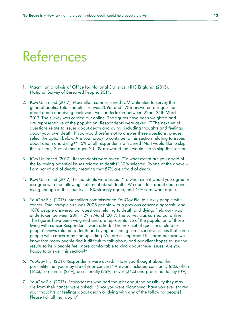### <span id="page-12-0"></span>References

- 1. Macmillan analysis of Office for National Statistics, NHS England. (2015). National Survey of Bereaved People, 2014.
- 2. ICM Unlimited (2017). Macmillan commissioned ICM Unlimited to survey the general public. Total sample size was 2096, and 1786 answered our questions about death and dying. Fieldwork was undertaken between 22nd–24th March 2017. The survey was carried out online. The figures have been weighted and are representative of the population. Respondents were asked: ""The next set of questions relate to issues about death and dying, including thoughts and feelings about your own death. If you would prefer not to answer these questions, please select the option below. Are you happy to continue to this section relating to issues about death and dying?" 15% of all respondents answered 'No I would like to skip this section', 25% of men aged 20–39 answered 'no I would like to skip this section'.
- 3. ICM Unlimited (2017). Respondents were asked: "To what extent are you afraid of the following potential issues related to death?" 13% selected, 'None of the above – I am not afraid of death', meaning that 87% are afraid of death.
- 4. ICM Unlimited (2017). Respondents were asked: "To what extent would you agree or disagree with the following statement about death? We don't talk about death and dying enough in this country". 18% strongly agree, and 47% somewhat agree.
- 5. YouGov Plc. (2017). Macmillan commissioned YouGov Plc. to survey people with cancer. Total sample size was 2005 people with a previous cancer diagnsosis, and 1878 people answered our questions relating to death and dying. Fieldwork was undertaken between 20th – 29th March 2017. The survey was carried out online. The figures have been weighted and are representative of the population of those living with cancer.Respondents were asked: "The next set of questions relate to people's views related to death and dying, including some sensitive issues that some people with cancer may find upsetting. We are asking about this area because we know that many people find it difficult to talk about, and our client hopes to use the results to help people feel more comfortable talking about these issues. Are you happy to answer this section?"
- 6. YouGov Plc. (2017. Respondents were asked: "Have you thought about the possibility that you may die of your cancer?" Answers included constantly (6%), often (16%), sometimes (27%), occasionally (26%), never (24%) and prefer not to say (0%).
- 7. YouGov Plc. (2017). Respondents who had thought about the possibility they may die from their cancer were asked: "Since you were diagnosed, have you ever shared your thoughts or feelings about death or dying with any of the following people? Please tick all that apply."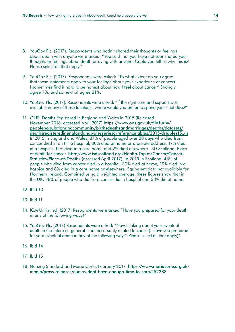- 8. YouGov Plc. (2017). Respondents who hadn't shared their thoughts or feelings about death with anyone were asked: "You said that you have not ever shared your thoughts or feelings about death or dying with anyone. Could you tell us why this is? Please select all that apply."
- 9. YouGov Plc. (2017). Respondents were asked: "To what extent do you agree that these statements apply to your feelings about your experience of cancer? I sometimes find it hard to be honest about how I feel about cancer" Strongly agree 7%, and somewhat agree 21%.
- 10. YouGov Plc. (2017). Respondents were asked: "If the right care and support was available in any of these locations, where would you prefer to spend your final days?"
- 11. ONS, Deaths Registered in England and Wales in 2015 (Released November 2016, accessed April 2017) [https://www.ons.gov.uk/file?uri=/](https://www.ons.gov.uk/file?uri=/peoplepopulationandcommunity/birthsdeathsandmarriages/deaths/datase) [peoplepopulationandcommunity/birthsdeathsandmarriages/deaths/datasets/](https://www.ons.gov.uk/file?uri=/peoplepopulationandcommunity/birthsdeathsandmarriages/deaths/datase) [deathsregisteredinenglandandwalesseriesdrreferencetables/2015/drtables15.xls](https://www.ons.gov.uk/file?uri=/peoplepopulationandcommunity/birthsdeathsandmarriages/deaths/datase) In 2015 in England and Wales, 37% of people aged over 28 days who died from cancer died in an NHS hospital, 30% died at home or a private address, 17% died in a hospice, 14% died in a care home and 2% died elsewhere. ISD Scotland. Place of death for cancer. [http://www.isdscotland.org/Health-Topics/Cancer/Cancer-](http://www.isdscotland.org/Health-Topics/Cancer/Cancer-Statistics/Place-of-Death/)[Statistics/Place-of-Death/](http://www.isdscotland.org/Health-Topics/Cancer/Cancer-Statistics/Place-of-Death/) (accessed April 2017). In 2015 in Scotland, 43% of people who died from cancer died in a hospital, 30% died at home, 19% died in a hospice and 8% died in a care home or elsewhere. Equivalent data not available for Northern Ireland. Combined using a weighted average, these figures show that in the UK, 38% of people who die from cancer die in hospital and 30% die at home.
- 12. Ibid 10
- 13. Ibid 11
- 14. ICM Unlimited. (2017) Respondents were asked "Have you prepared for your death in any of the following ways?"
- 15. YouGov Plc. (2017) Respondents were asked: "Now thinking about your eventual death in the future (in general – not necessarily related to cancer). Have you prepared for your eventual death in any of the following ways? Please select all that apply)".
- 16. Ibid 14
- 17. Ibid 15
- 18. Nursing Standard and Marie Curie, February 2017: [https://www.mariecurie.org.uk/](https://www.mariecurie.org.uk/media/press-releases/nurses-dont-have-enough-time-to-care/152288) [media/press-releases/nurses-dont-have-enough-time-to-care/152288](https://www.mariecurie.org.uk/media/press-releases/nurses-dont-have-enough-time-to-care/152288)